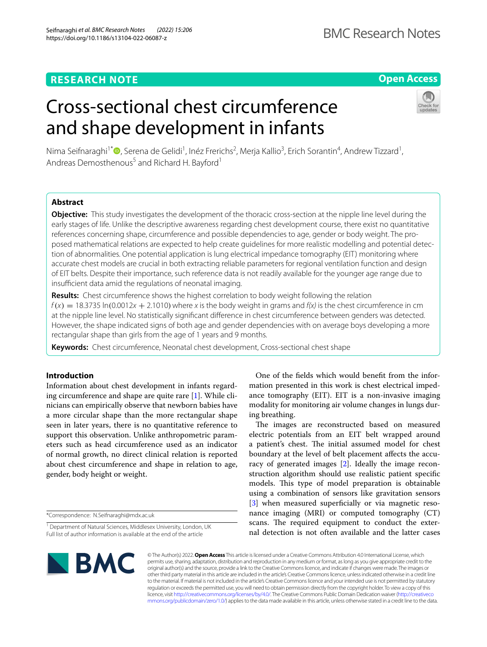# **Open Access**

# Cross-sectional chest circumference and shape development in infants



Nima Seifnaraghi<sup>1\*</sup>®[,](http://orcid.org/0000-0002-6431-2404) Serena de Gelidi<sup>1</sup>, Inéz Frerichs<sup>2</sup>, Merja Kallio<sup>3</sup>, Erich Sorantin<sup>4</sup>, Andrew Tizzard<sup>1</sup>, Andreas Demosthenous<sup>5</sup> and Richard H. Bayford<sup>1</sup>

# **Abstract**

**Objective:** This study investigates the development of the thoracic cross-section at the nipple line level during the early stages of life. Unlike the descriptive awareness regarding chest development course, there exist no quantitative references concerning shape, circumference and possible dependencies to age, gender or body weight. The proposed mathematical relations are expected to help create guidelines for more realistic modelling and potential detection of abnormalities. One potential application is lung electrical impedance tomography (EIT) monitoring where accurate chest models are crucial in both extracting reliable parameters for regional ventilation function and design of EIT belts. Despite their importance, such reference data is not readily available for the younger age range due to insufficient data amid the regulations of neonatal imaging.

**Results:** Chest circumference shows the highest correlation to body weight following the relation  $f(x) = 18.3735 \ln(0.0012x + 2.1010)$  where x is the body weight in grams and  $f(x)$  is the chest circumference in cm at the nipple line level. No statistically signifcant diference in chest circumference between genders was detected. However, the shape indicated signs of both age and gender dependencies with on average boys developing a more rectangular shape than girls from the age of 1 years and 9 months.

**Keywords:** Chest circumference, Neonatal chest development, Cross-sectional chest shape

### **Introduction**

Information about chest development in infants regarding circumference and shape are quite rare [\[1\]](#page-4-0). While clinicians can empirically observe that newborn babies have a more circular shape than the more rectangular shape seen in later years, there is no quantitative reference to support this observation. Unlike anthropometric parameters such as head circumference used as an indicator of normal growth, no direct clinical relation is reported about chest circumference and shape in relation to age, gender, body height or weight.

\*Correspondence: N.Seifnaraghi@mdx.ac.uk

One of the felds which would beneft from the information presented in this work is chest electrical impedance tomography (EIT). EIT is a non-invasive imaging modality for monitoring air volume changes in lungs during breathing.

The images are reconstructed based on measured electric potentials from an EIT belt wrapped around a patient's chest. The initial assumed model for chest boundary at the level of belt placement afects the accuracy of generated images [\[2](#page-4-1)]. Ideally the image reconstruction algorithm should use realistic patient specifc models. This type of model preparation is obtainable using a combination of sensors like gravitation sensors [[3\]](#page-4-2) when measured superficially or via magnetic resonance imaging (MRI) or computed tomography (CT) scans. The required equipment to conduct the external detection is not often available and the latter cases



© The Author(s) 2022. **Open Access** This article is licensed under a Creative Commons Attribution 4.0 International License, which permits use, sharing, adaptation, distribution and reproduction in any medium or format, as long as you give appropriate credit to the original author(s) and the source, provide a link to the Creative Commons licence, and indicate if changes were made. The images or other third party material in this article are included in the article's Creative Commons licence, unless indicated otherwise in a credit line to the material. If material is not included in the article's Creative Commons licence and your intended use is not permitted by statutory regulation or exceeds the permitted use, you will need to obtain permission directly from the copyright holder. To view a copy of this licence, visit [http://creativecommons.org/licenses/by/4.0/.](http://creativecommons.org/licenses/by/4.0/) The Creative Commons Public Domain Dedication waiver ([http://creativeco](http://creativecommons.org/publicdomain/zero/1.0/) [mmons.org/publicdomain/zero/1.0/](http://creativecommons.org/publicdomain/zero/1.0/)) applies to the data made available in this article, unless otherwise stated in a credit line to the data.

<sup>&</sup>lt;sup>1</sup> Department of Natural Sciences, Middlesex University, London, UK Full list of author information is available at the end of the article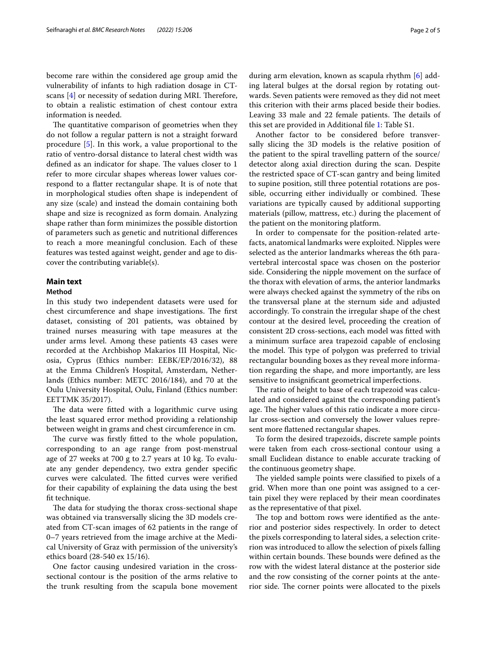become rare within the considered age group amid the vulnerability of infants to high radiation dosage in CTscans  $[4]$  $[4]$  or necessity of sedation during MRI. Therefore, to obtain a realistic estimation of chest contour extra information is needed.

The quantitative comparison of geometries when they do not follow a regular pattern is not a straight forward procedure [\[5](#page-4-4)]. In this work, a value proportional to the ratio of ventro-dorsal distance to lateral chest width was defined as an indicator for shape. The values closer to 1 refer to more circular shapes whereas lower values correspond to a fatter rectangular shape. It is of note that in morphological studies often shape is independent of any size (scale) and instead the domain containing both shape and size is recognized as form domain. Analyzing shape rather than form minimizes the possible distortion of parameters such as genetic and nutritional diferences to reach a more meaningful conclusion. Each of these features was tested against weight, gender and age to discover the contributing variable(s).

# **Main text**

## **Method**

In this study two independent datasets were used for chest circumference and shape investigations. The first dataset, consisting of 201 patients, was obtained by trained nurses measuring with tape measures at the under arms level. Among these patients 43 cases were recorded at the Archbishop Makarios III Hospital, Nicosia, Cyprus (Ethics number: EEBK/EP/2016/32), 88 at the Emma Children's Hospital, Amsterdam, Netherlands (Ethics number: METC 2016/184), and 70 at the Oulu University Hospital, Oulu, Finland (Ethics number: EETTMK 35/2017).

The data were fitted with a logarithmic curve using the least squared error method providing a relationship between weight in grams and chest circumference in cm.

The curve was firstly fitted to the whole population, corresponding to an age range from post-menstrual age of 27 weeks at 700 g to 2.7 years at 10 kg. To evaluate any gender dependency, two extra gender specifc curves were calculated. The fitted curves were verified for their capability of explaining the data using the best ft technique.

The data for studying the thorax cross-sectional shape was obtained via transversally slicing the 3D models created from CT-scan images of 62 patients in the range of 0–7 years retrieved from the image archive at the Medical University of Graz with permission of the university's ethics board (28-540 ex 15/16).

One factor causing undesired variation in the crosssectional contour is the position of the arms relative to the trunk resulting from the scapula bone movement

during arm elevation, known as scapula rhythm [[6\]](#page-4-5) adding lateral bulges at the dorsal region by rotating outwards. Seven patients were removed as they did not meet this criterion with their arms placed beside their bodies. Leaving 33 male and 22 female patients. The details of this set are provided in Additional fle [1:](#page-3-0) Table S1.

Another factor to be considered before transversally slicing the 3D models is the relative position of the patient to the spiral travelling pattern of the source/ detector along axial direction during the scan. Despite the restricted space of CT-scan gantry and being limited to supine position, still three potential rotations are possible, occurring either individually or combined. These variations are typically caused by additional supporting materials (pillow, mattress, etc.) during the placement of the patient on the monitoring platform.

In order to compensate for the position-related artefacts, anatomical landmarks were exploited. Nipples were selected as the anterior landmarks whereas the 6th paravertebral intercostal space was chosen on the posterior side. Considering the nipple movement on the surface of the thorax with elevation of arms, the anterior landmarks were always checked against the symmetry of the ribs on the transversal plane at the sternum side and adjusted accordingly. To constrain the irregular shape of the chest contour at the desired level, proceeding the creation of consistent 2D cross-sections, each model was ftted with a minimum surface area trapezoid capable of enclosing the model. This type of polygon was preferred to trivial rectangular bounding boxes as they reveal more information regarding the shape, and more importantly, are less sensitive to insignifcant geometrical imperfections.

The ratio of height to base of each trapezoid was calculated and considered against the corresponding patient's age. The higher values of this ratio indicate a more circular cross-section and conversely the lower values represent more fattened rectangular shapes.

To form the desired trapezoids, discrete sample points were taken from each cross-sectional contour using a small Euclidean distance to enable accurate tracking of the continuous geometry shape.

The yielded sample points were classified to pixels of a grid. When more than one point was assigned to a certain pixel they were replaced by their mean coordinates as the representative of that pixel.

The top and bottom rows were identified as the anterior and posterior sides respectively. In order to detect the pixels corresponding to lateral sides, a selection criterion was introduced to allow the selection of pixels falling within certain bounds. These bounds were defined as the row with the widest lateral distance at the posterior side and the row consisting of the corner points at the anterior side. The corner points were allocated to the pixels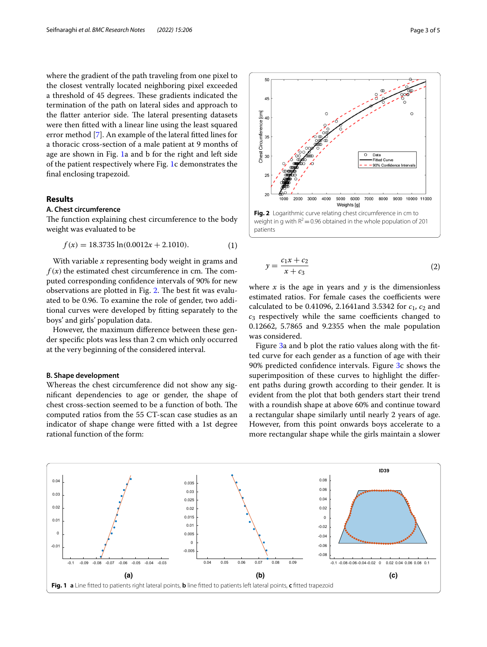where the gradient of the path traveling from one pixel to the closest ventrally located neighboring pixel exceeded a threshold of 45 degrees. These gradients indicated the termination of the path on lateral sides and approach to the flatter anterior side. The lateral presenting datasets were then ftted with a linear line using the least squared error method [\[7](#page-4-6)]. An example of the lateral ftted lines for a thoracic cross-section of a male patient at 9 months of age are shown in Fig. [1](#page-2-0)a and b for the right and left side of the patient respectively where Fig. [1](#page-2-0)c demonstrates the fnal enclosing trapezoid.

#### **Results**

#### **A. Chest circumference**

The function explaining chest circumference to the body weight was evaluated to be

$$
f(x) = 18.3735 \ln(0.0012x + 2.1010). \tag{1}
$$

With variable *x* representing body weight in grams and  $f(x)$  the estimated chest circumference in cm. The computed corresponding confdence intervals of 90% for new observations are plotted in Fig. [2.](#page-2-1) The best fit was evaluated to be 0.96. To examine the role of gender, two additional curves were developed by ftting separately to the boys' and girls' population data.

However, the maximum diference between these gender specifc plots was less than 2 cm which only occurred at the very beginning of the considered interval.

#### **B. Shape development**

Whereas the chest circumference did not show any signifcant dependencies to age or gender, the shape of chest cross-section seemed to be a function of both. The computed ratios from the 55 CT-scan case studies as an indicator of shape change were ftted with a 1st degree rational function of the form:



<span id="page-2-2"></span><span id="page-2-1"></span>
$$
y = \frac{c_1 x + c_2}{x + c_3} \tag{2}
$$

where  $x$  is the age in years and  $y$  is the dimensionless estimated ratios. For female cases the coefficients were calculated to be 0.41096, 2.1641and 3.5342 for  $c_1$ ,  $c_2$  and  $c_3$  respectively while the same coefficients changed to 0.12662, 5.7865 and 9.2355 when the male population was considered.

Figure [3](#page-3-1)a and b plot the ratio values along with the ftted curve for each gender as a function of age with their 90% predicted confdence intervals. Figure [3c](#page-3-1) shows the superimposition of these curves to highlight the diferent paths during growth according to their gender. It is evident from the plot that both genders start their trend with a roundish shape at above 60% and continue toward a rectangular shape similarly until nearly 2 years of age. However, from this point onwards boys accelerate to a more rectangular shape while the girls maintain a slower

<span id="page-2-0"></span>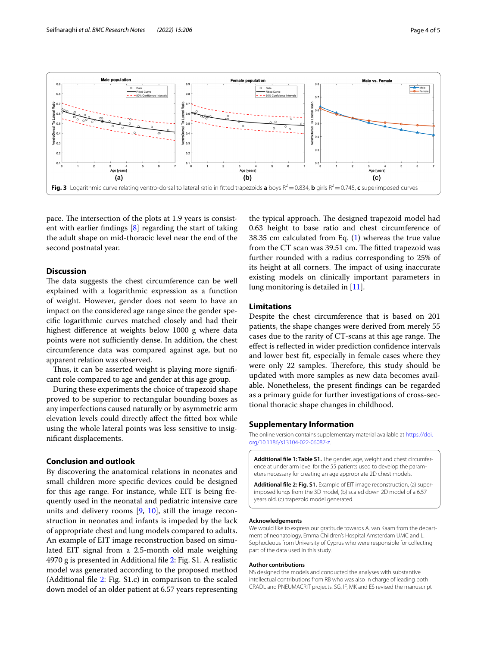

<span id="page-3-1"></span>pace. The intersection of the plots at 1.9 years is consistent with earlier fndings [\[8](#page-4-7)] regarding the start of taking the adult shape on mid-thoracic level near the end of the second postnatal year.

#### **Discussion**

The data suggests the chest circumference can be well explained with a logarithmic expression as a function of weight. However, gender does not seem to have an impact on the considered age range since the gender specifc logarithmic curves matched closely and had their highest diference at weights below 1000 g where data points were not sufficiently dense. In addition, the chest circumference data was compared against age, but no apparent relation was observed.

Thus, it can be asserted weight is playing more significant role compared to age and gender at this age group.

During these experiments the choice of trapezoid shape proved to be superior to rectangular bounding boxes as any imperfections caused naturally or by asymmetric arm elevation levels could directly afect the ftted box while using the whole lateral points was less sensitive to insignifcant displacements.

#### **Conclusion and outlook**

By discovering the anatomical relations in neonates and small children more specifc devices could be designed for this age range. For instance, while EIT is being frequently used in the neonatal and pediatric intensive care units and delivery rooms  $[9, 10]$  $[9, 10]$  $[9, 10]$  $[9, 10]$ , still the image reconstruction in neonates and infants is impeded by the lack of appropriate chest and lung models compared to adults. An example of EIT image reconstruction based on simulated EIT signal from a 2.5-month old male weighing 4970 g is presented in Additional fle [2](#page-3-2): Fig. S1. A realistic model was generated according to the proposed method (Additional fle [2](#page-3-2): Fig. S1.c) in comparison to the scaled down model of an older patient at 6.57 years representing

the typical approach. The designed trapezoid model had 0.63 height to base ratio and chest circumference of 38.35 cm calculated from Eq. ([1\)](#page-2-2) whereas the true value from the CT scan was 39.51 cm. The fitted trapezoid was further rounded with a radius corresponding to 25% of its height at all corners. The impact of using inaccurate existing models on clinically important parameters in lung monitoring is detailed in [\[11\]](#page-4-10).

#### **Limitations**

Despite the chest circumference that is based on 201 patients, the shape changes were derived from merely 55 cases due to the rarity of CT-scans at this age range. The efect is refected in wider prediction confdence intervals and lower best ft, especially in female cases where they were only 22 samples. Therefore, this study should be updated with more samples as new data becomes available. Nonetheless, the present fndings can be regarded as a primary guide for further investigations of cross-sectional thoracic shape changes in childhood.

#### **Supplementary Information**

The online version contains supplementary material available at [https://doi.](https://doi.org/10.1186/s13104-022-06087-z) [org/10.1186/s13104-022-06087-z.](https://doi.org/10.1186/s13104-022-06087-z)

<span id="page-3-0"></span>**Additional fle 1: Table S1.** The gender, age, weight and chest circumference at under arm level for the 55 patients used to develop the parameters necessary for creating an age appropriate 2D chest models.

<span id="page-3-2"></span>**Additional fle 2: Fig. S1.** Example of EIT image reconstruction, (a) superimposed lungs from the 3D model, (b) scaled down 2D model of a 6.57 years old, (c) trapezoid model generated.

#### **Acknowledgements**

We would like to express our gratitude towards A. van Kaam from the department of neonatology, Emma Children's Hospital Amsterdam UMC and L. Sophocleous from University of Cyprus who were responsible for collecting part of the data used in this study.

#### **Author contributions**

NS designed the models and conducted the analyses with substantive intellectual contributions from RB who was also in charge of leading both CRADL and PNEUMACRIT projects. SG, IF, MK and ES revised the manuscript